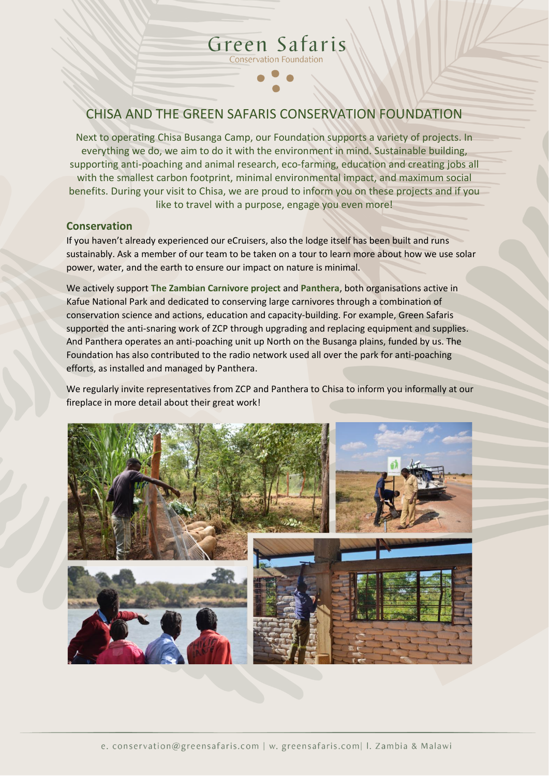## CHISA AND THE GREEN SAFARIS CONSERVATION FOUNDATION

Green Safaris Conservation Foundation

Next to operating Chisa Busanga Camp, our Foundation supports a variety of projects. In everything we do, we aim to do it with the environment in mind. Sustainable building, supporting anti-poaching and animal research, eco-farming, education and creating jobs all with the smallest carbon footprint, minimal environmental impact, and maximum social benefits. During your visit to Chisa, we are proud to inform you on these projects and if you like to travel with a purpose, engage you even more!

#### **Conservation**

If you haven't already experienced our eCruisers, also the lodge itself has been built and runs sustainably. Ask a member of our team to be taken on a tour to learn more about how we use solar power, water, and the earth to ensure our impact on nature is minimal.

We actively support **The Zambian Carnivore project** and **Panthera**, both organisations active in Kafue National Park and dedicated to conserving large carnivores through a combination of conservation science and actions, education and capacity-building. For example, Green Safaris supported the anti-snaring work of ZCP through upgrading and replacing equipment and supplies. And Panthera operates an anti-poaching unit up North on the Busanga plains, funded by us. The Foundation has also contributed to the radio network used all over the park for anti-poaching efforts, as installed and managed by Panthera.

We regularly invite representatives from ZCP and Panthera to Chisa to inform you informally at our fireplace in more detail about their great work!